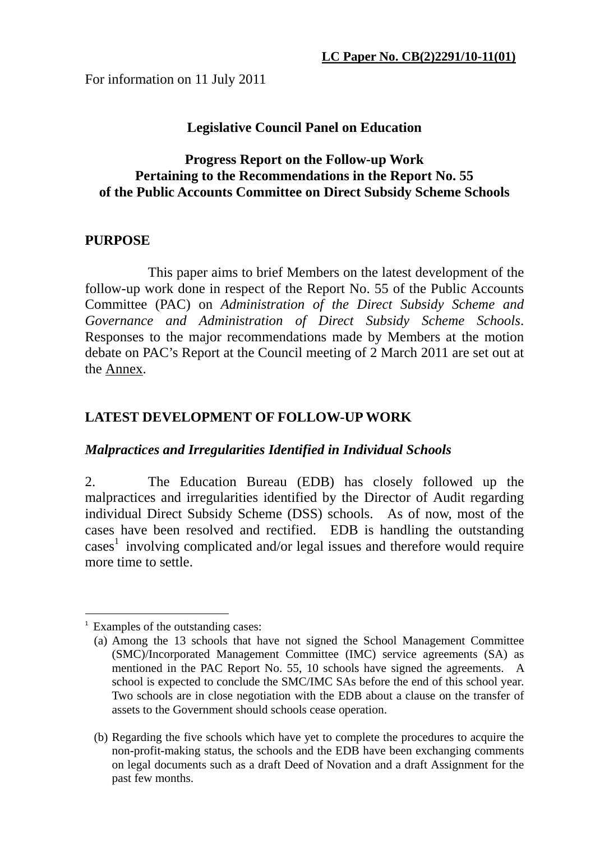For information on 11 July 2011

## **Legislative Council Panel on Education**

#### **Progress Report on the Follow-up Work Pertaining to the Recommendations in the Report No. 55 of the Public Accounts Committee on Direct Subsidy Scheme Schools**

## **PURPOSE**

 This paper aims to brief Members on the latest development of the follow-up work done in respect of the Report No. 55 of the Public Accounts Committee (PAC) on *Administration of the Direct Subsidy Scheme and Governance and Administration of Direct Subsidy Scheme Schools*. Responses to the major recommendations made by Members at the motion debate on PAC's Report at the Council meeting of 2 March 2011 are set out at the Annex.

# **LATEST DEVELOPMENT OF FOLLOW-UP WORK**

#### *Malpractices and Irregularities Identified in Individual Schools*

2. The Education Bureau (EDB) has closely followed up the malpractices and irregularities identified by the Director of Audit regarding individual Direct Subsidy Scheme (DSS) schools. As of now, most of the cases have been resolved and rectified. EDB is handling the outstanding cases 1 involving complicated and/or legal issues and therefore would require more time to settle.

1

Examples of the outstanding cases:

<sup>(</sup>a) Among the 13 schools that have not signed the School Management Committee (SMC)/Incorporated Management Committee (IMC) service agreements (SA) as mentioned in the PAC Report No. 55, 10 schools have signed the agreements. A school is expected to conclude the SMC/IMC SAs before the end of this school year. Two schools are in close negotiation with the EDB about a clause on the transfer of assets to the Government should schools cease operation.

<sup>(</sup>b) Regarding the five schools which have yet to complete the procedures to acquire the non-profit-making status, the schools and the EDB have been exchanging comments on legal documents such as a draft Deed of Novation and a draft Assignment for the past few months.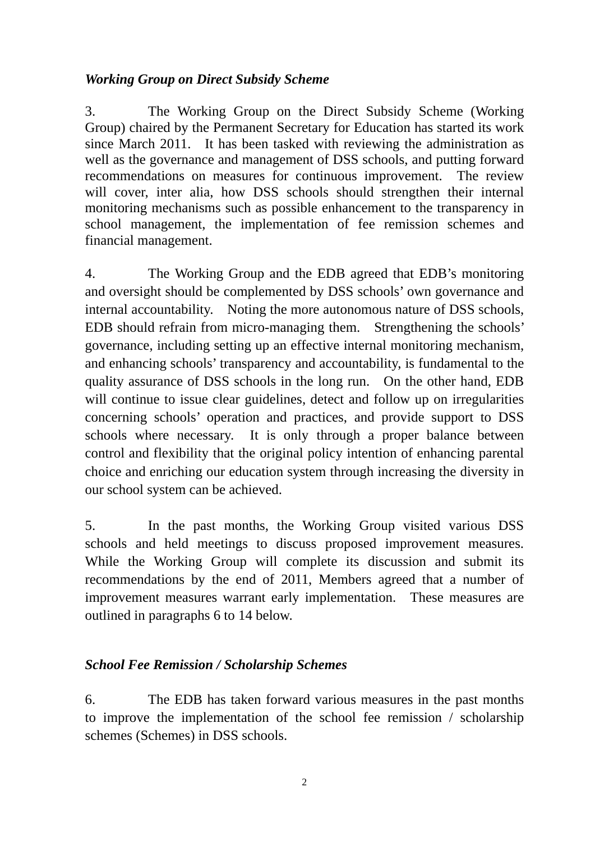## *Working Group on Direct Subsidy Scheme*

3. The Working Group on the Direct Subsidy Scheme (Working Group) chaired by the Permanent Secretary for Education has started its work since March 2011. It has been tasked with reviewing the administration as well as the governance and management of DSS schools, and putting forward recommendations on measures for continuous improvement. The review will cover, inter alia, how DSS schools should strengthen their internal monitoring mechanisms such as possible enhancement to the transparency in school management, the implementation of fee remission schemes and financial management.

4. The Working Group and the EDB agreed that EDB's monitoring and oversight should be complemented by DSS schools' own governance and internal accountability. Noting the more autonomous nature of DSS schools, EDB should refrain from micro-managing them. Strengthening the schools' governance, including setting up an effective internal monitoring mechanism, and enhancing schools' transparency and accountability, is fundamental to the quality assurance of DSS schools in the long run. On the other hand, EDB will continue to issue clear guidelines, detect and follow up on irregularities concerning schools' operation and practices, and provide support to DSS schools where necessary. It is only through a proper balance between control and flexibility that the original policy intention of enhancing parental choice and enriching our education system through increasing the diversity in our school system can be achieved.

5. In the past months, the Working Group visited various DSS schools and held meetings to discuss proposed improvement measures. While the Working Group will complete its discussion and submit its recommendations by the end of 2011, Members agreed that a number of improvement measures warrant early implementation. These measures are outlined in paragraphs 6 to 14 below.

# *School Fee Remission / Scholarship Schemes*

6. The EDB has taken forward various measures in the past months to improve the implementation of the school fee remission / scholarship schemes (Schemes) in DSS schools.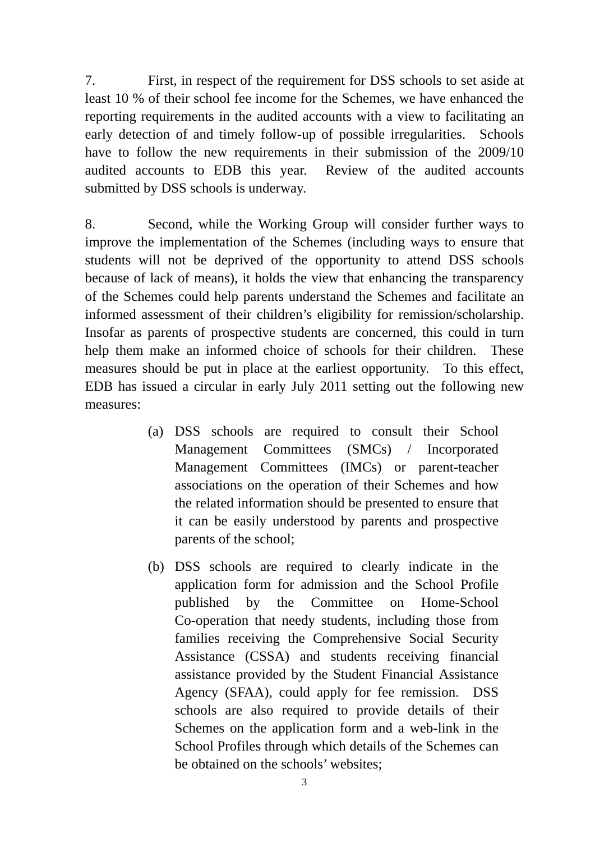7. First, in respect of the requirement for DSS schools to set aside at least 10 % of their school fee income for the Schemes, we have enhanced the reporting requirements in the audited accounts with a view to facilitating an early detection of and timely follow-up of possible irregularities. Schools have to follow the new requirements in their submission of the 2009/10 audited accounts to EDB this year. Review of the audited accounts submitted by DSS schools is underway.

8. Second, while the Working Group will consider further ways to improve the implementation of the Schemes (including ways to ensure that students will not be deprived of the opportunity to attend DSS schools because of lack of means), it holds the view that enhancing the transparency of the Schemes could help parents understand the Schemes and facilitate an informed assessment of their children's eligibility for remission/scholarship. Insofar as parents of prospective students are concerned, this could in turn help them make an informed choice of schools for their children. These measures should be put in place at the earliest opportunity. To this effect, EDB has issued a circular in early July 2011 setting out the following new measures:

- (a) DSS schools are required to consult their School Management Committees (SMCs) / Incorporated Management Committees (IMCs) or parent-teacher associations on the operation of their Schemes and how the related information should be presented to ensure that it can be easily understood by parents and prospective parents of the school;
- (b) DSS schools are required to clearly indicate in the application form for admission and the School Profile published by the Committee on Home-School Co-operation that needy students, including those from families receiving the Comprehensive Social Security Assistance (CSSA) and students receiving financial assistance provided by the Student Financial Assistance Agency (SFAA), could apply for fee remission. DSS schools are also required to provide details of their Schemes on the application form and a web-link in the School Profiles through which details of the Schemes can be obtained on the schools' websites;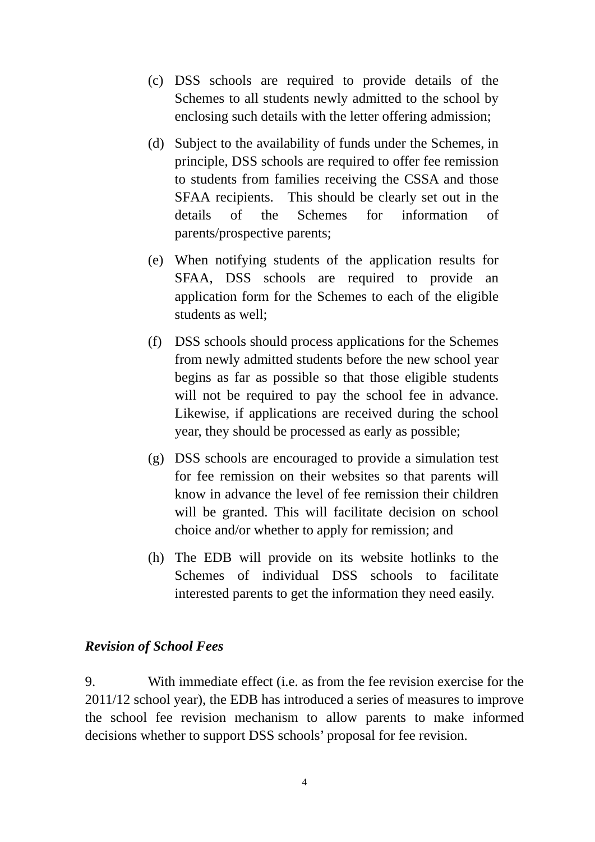- (c) DSS schools are required to provide details of the Schemes to all students newly admitted to the school by enclosing such details with the letter offering admission;
- (d) Subject to the availability of funds under the Schemes, in principle, DSS schools are required to offer fee remission to students from families receiving the CSSA and those SFAA recipients. This should be clearly set out in the details of the Schemes for information of parents/prospective parents;
- (e) When notifying students of the application results for SFAA, DSS schools are required to provide an application form for the Schemes to each of the eligible students as well;
- (f) DSS schools should process applications for the Schemes from newly admitted students before the new school year begins as far as possible so that those eligible students will not be required to pay the school fee in advance. Likewise, if applications are received during the school year, they should be processed as early as possible;
- (g) DSS schools are encouraged to provide a simulation test for fee remission on their websites so that parents will know in advance the level of fee remission their children will be granted. This will facilitate decision on school choice and/or whether to apply for remission; and
- (h) The EDB will provide on its website hotlinks to the Schemes of individual DSS schools to facilitate interested parents to get the information they need easily.

#### *Revision of School Fees*

9. With immediate effect (i.e. as from the fee revision exercise for the 2011/12 school year), the EDB has introduced a series of measures to improve the school fee revision mechanism to allow parents to make informed decisions whether to support DSS schools' proposal for fee revision.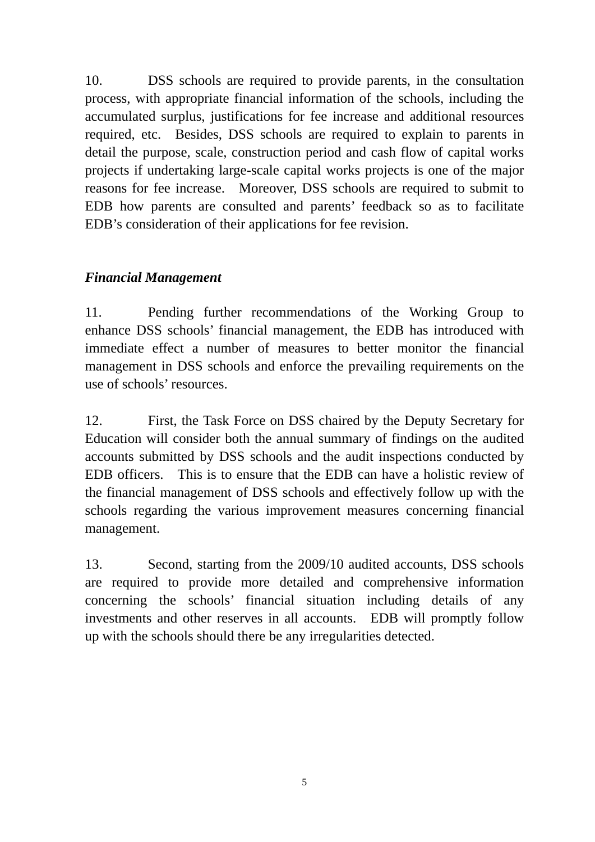10. DSS schools are required to provide parents, in the consultation process, with appropriate financial information of the schools, including the accumulated surplus, justifications for fee increase and additional resources required, etc. Besides, DSS schools are required to explain to parents in detail the purpose, scale, construction period and cash flow of capital works projects if undertaking large-scale capital works projects is one of the major reasons for fee increase. Moreover, DSS schools are required to submit to EDB how parents are consulted and parents' feedback so as to facilitate EDB's consideration of their applications for fee revision.

## *Financial Management*

11. Pending further recommendations of the Working Group to enhance DSS schools' financial management, the EDB has introduced with immediate effect a number of measures to better monitor the financial management in DSS schools and enforce the prevailing requirements on the use of schools' resources.

12. First, the Task Force on DSS chaired by the Deputy Secretary for Education will consider both the annual summary of findings on the audited accounts submitted by DSS schools and the audit inspections conducted by EDB officers. This is to ensure that the EDB can have a holistic review of the financial management of DSS schools and effectively follow up with the schools regarding the various improvement measures concerning financial management.

13. Second, starting from the 2009/10 audited accounts, DSS schools are required to provide more detailed and comprehensive information concerning the schools' financial situation including details of any investments and other reserves in all accounts. EDB will promptly follow up with the schools should there be any irregularities detected.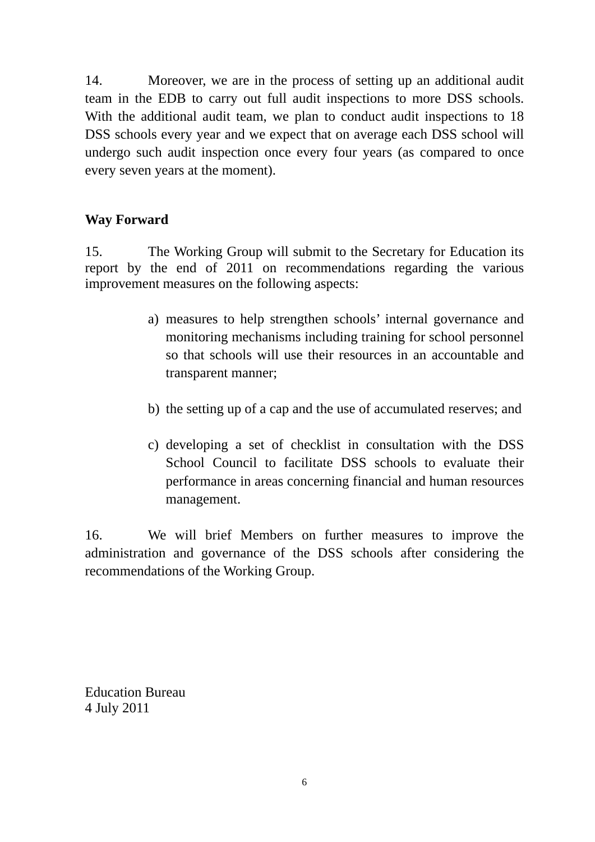14. Moreover, we are in the process of setting up an additional audit team in the EDB to carry out full audit inspections to more DSS schools. With the additional audit team, we plan to conduct audit inspections to 18 DSS schools every year and we expect that on average each DSS school will undergo such audit inspection once every four years (as compared to once every seven years at the moment).

## **Way Forward**

15. The Working Group will submit to the Secretary for Education its report by the end of 2011 on recommendations regarding the various improvement measures on the following aspects:

- a) measures to help strengthen schools' internal governance and monitoring mechanisms including training for school personnel so that schools will use their resources in an accountable and transparent manner;
- b) the setting up of a cap and the use of accumulated reserves; and
- c) developing a set of checklist in consultation with the DSS School Council to facilitate DSS schools to evaluate their performance in areas concerning financial and human resources management.

16. We will brief Members on further measures to improve the administration and governance of the DSS schools after considering the recommendations of the Working Group.

Education Bureau 4 July 2011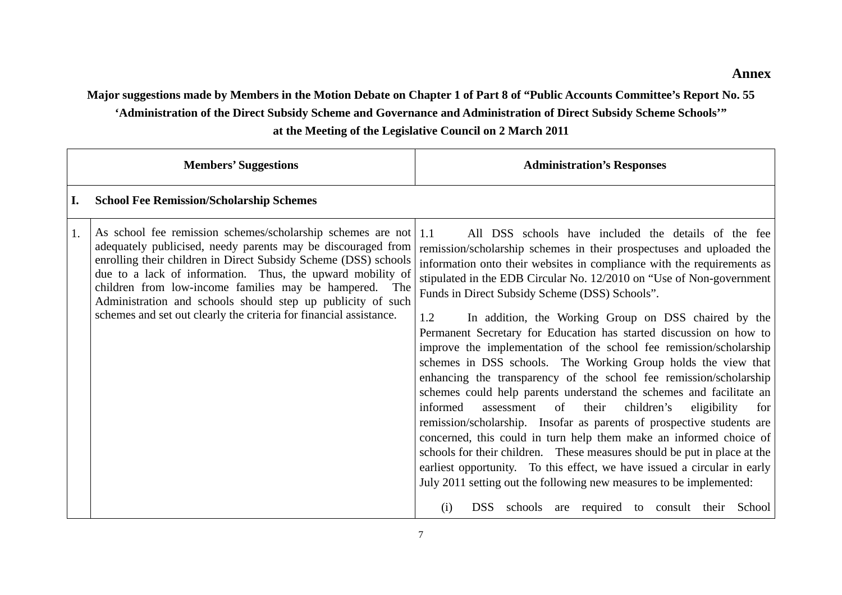**Major suggestions made by Members in the Motion Debate on Chapter 1 of Part 8 of "Public Accounts Committee's Report No. 55** 

**'Administration of the Direct Subsidy Scheme and Governance and Administration of Direct Subsidy Scheme Schools'"** 

**at the Meeting of the Legislative Council on 2 March 2011** 

|    | <b>Members' Suggestions</b>                                                                                                                                                                                                                                                                                                                                                                                                                                 | <b>Administration's Responses</b>                                                                                                                                                                                                                                                                                                                                                                                                                                                                                                                                                                                                                                                                                                                                                                                                                                                                                                                                                                                                                                                                                                                                                                                                                                                                     |
|----|-------------------------------------------------------------------------------------------------------------------------------------------------------------------------------------------------------------------------------------------------------------------------------------------------------------------------------------------------------------------------------------------------------------------------------------------------------------|-------------------------------------------------------------------------------------------------------------------------------------------------------------------------------------------------------------------------------------------------------------------------------------------------------------------------------------------------------------------------------------------------------------------------------------------------------------------------------------------------------------------------------------------------------------------------------------------------------------------------------------------------------------------------------------------------------------------------------------------------------------------------------------------------------------------------------------------------------------------------------------------------------------------------------------------------------------------------------------------------------------------------------------------------------------------------------------------------------------------------------------------------------------------------------------------------------------------------------------------------------------------------------------------------------|
| I. | <b>School Fee Remission/Scholarship Schemes</b>                                                                                                                                                                                                                                                                                                                                                                                                             |                                                                                                                                                                                                                                                                                                                                                                                                                                                                                                                                                                                                                                                                                                                                                                                                                                                                                                                                                                                                                                                                                                                                                                                                                                                                                                       |
| 1. | As school fee remission schemes/scholarship schemes are not<br>adequately publicised, needy parents may be discouraged from<br>enrolling their children in Direct Subsidy Scheme (DSS) schools<br>due to a lack of information. Thus, the upward mobility of<br>children from low-income families may be hampered. The<br>Administration and schools should step up publicity of such<br>schemes and set out clearly the criteria for financial assistance. | $\vert$ 1.1<br>All DSS schools have included the details of the fee<br>remission/scholarship schemes in their prospectuses and uploaded the<br>information onto their websites in compliance with the requirements as<br>stipulated in the EDB Circular No. 12/2010 on "Use of Non-government"<br>Funds in Direct Subsidy Scheme (DSS) Schools".<br>In addition, the Working Group on DSS chaired by the<br>1.2<br>Permanent Secretary for Education has started discussion on how to<br>improve the implementation of the school fee remission/scholarship<br>schemes in DSS schools. The Working Group holds the view that<br>enhancing the transparency of the school fee remission/scholarship<br>schemes could help parents understand the schemes and facilitate an<br>informed<br>of<br>their<br>children's<br>assessment<br>eligibility<br>for<br>remission/scholarship. Insofar as parents of prospective students are<br>concerned, this could in turn help them make an informed choice of<br>schools for their children. These measures should be put in place at the<br>earliest opportunity. To this effect, we have issued a circular in early<br>July 2011 setting out the following new measures to be implemented:<br>DSS schools<br>are required to consult their<br>School<br>(i) |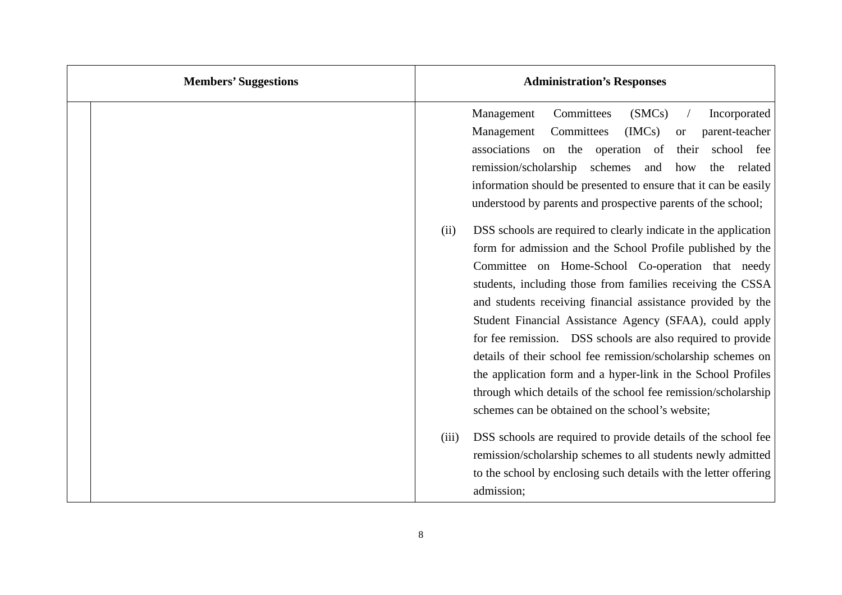| <b>Members' Suggestions</b> | <b>Administration's Responses</b>                                                                                                                                                                                                                                                                                                                                                                                                                                                                                                                                                                                                                                                                                                                                                                                                                                                                                                                                                                                                            |
|-----------------------------|----------------------------------------------------------------------------------------------------------------------------------------------------------------------------------------------------------------------------------------------------------------------------------------------------------------------------------------------------------------------------------------------------------------------------------------------------------------------------------------------------------------------------------------------------------------------------------------------------------------------------------------------------------------------------------------------------------------------------------------------------------------------------------------------------------------------------------------------------------------------------------------------------------------------------------------------------------------------------------------------------------------------------------------------|
|                             | Management<br>Committees<br>(SMCs)<br>Incorporated<br>Committees<br>IMCs<br>Management<br>parent-teacher<br><b>or</b><br>associations on the operation of<br>school fee<br>their<br>remission/scholarship<br>schemes<br>and<br>the<br>related<br>how<br>information should be presented to ensure that it can be easily<br>understood by parents and prospective parents of the school;<br>DSS schools are required to clearly indicate in the application<br>(ii)<br>form for admission and the School Profile published by the<br>Committee on Home-School Co-operation that needy<br>students, including those from families receiving the CSSA<br>and students receiving financial assistance provided by the<br>Student Financial Assistance Agency (SFAA), could apply<br>for fee remission. DSS schools are also required to provide<br>details of their school fee remission/scholarship schemes on<br>the application form and a hyper-link in the School Profiles<br>through which details of the school fee remission/scholarship |
|                             | schemes can be obtained on the school's website;<br>DSS schools are required to provide details of the school fee<br>(iii)<br>remission/scholarship schemes to all students newly admitted<br>to the school by enclosing such details with the letter offering<br>admission;                                                                                                                                                                                                                                                                                                                                                                                                                                                                                                                                                                                                                                                                                                                                                                 |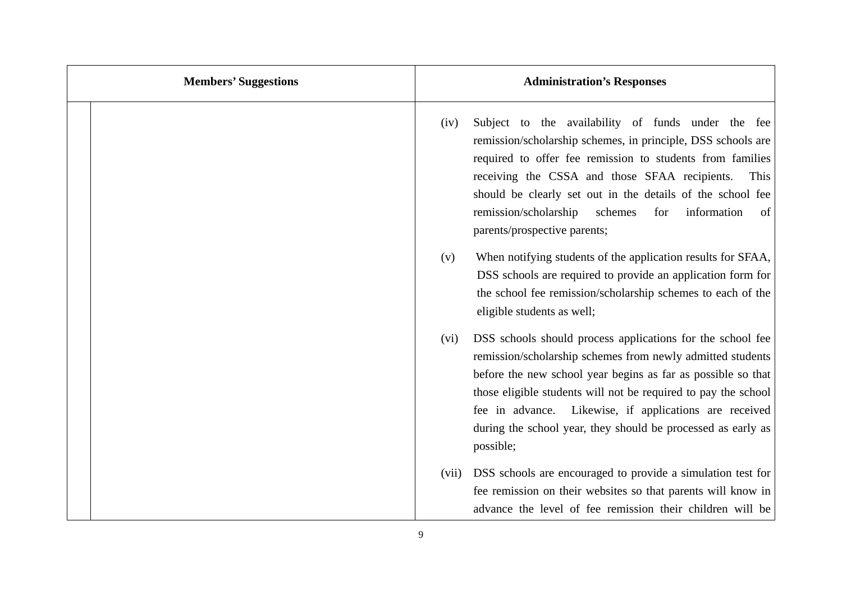| <b>Members' Suggestions</b> | <b>Administration's Responses</b>                                                                                                                                                                                                                                                                                                                                                                              |
|-----------------------------|----------------------------------------------------------------------------------------------------------------------------------------------------------------------------------------------------------------------------------------------------------------------------------------------------------------------------------------------------------------------------------------------------------------|
|                             | Subject to the availability of funds under the fee<br>(iv)<br>remission/scholarship schemes, in principle, DSS schools are<br>required to offer fee remission to students from families<br>receiving the CSSA and those SFAA recipients.<br>This<br>should be clearly set out in the details of the school fee<br>remission/scholarship<br>information<br>schemes<br>of<br>for<br>parents/prospective parents; |
|                             | When notifying students of the application results for SFAA,<br>(v)<br>DSS schools are required to provide an application form for<br>the school fee remission/scholarship schemes to each of the<br>eligible students as well;                                                                                                                                                                                |
|                             | DSS schools should process applications for the school fee<br>(vi)<br>remission/scholarship schemes from newly admitted students<br>before the new school year begins as far as possible so that<br>those eligible students will not be required to pay the school<br>fee in advance. Likewise, if applications are received<br>during the school year, they should be processed as early as<br>possible;      |
|                             | DSS schools are encouraged to provide a simulation test for<br>(vii)<br>fee remission on their websites so that parents will know in<br>advance the level of fee remission their children will be                                                                                                                                                                                                              |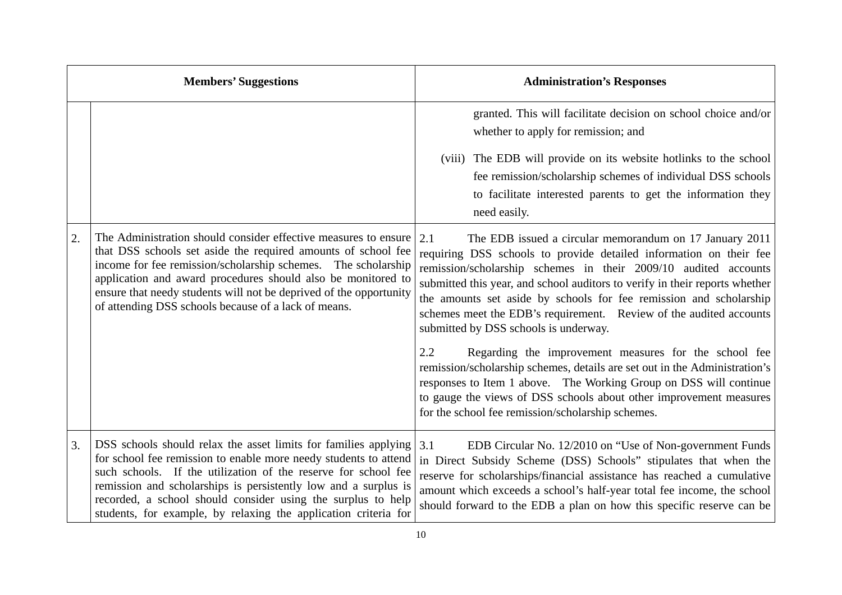|    | <b>Members' Suggestions</b>                                                                                                                                                                                                                                                                                                                                                                                 | <b>Administration's Responses</b>                                                                                                                                                                                                                                                                                                                                                                                                                                                                                                                                                                                                                                                                                                                                                                                         |
|----|-------------------------------------------------------------------------------------------------------------------------------------------------------------------------------------------------------------------------------------------------------------------------------------------------------------------------------------------------------------------------------------------------------------|---------------------------------------------------------------------------------------------------------------------------------------------------------------------------------------------------------------------------------------------------------------------------------------------------------------------------------------------------------------------------------------------------------------------------------------------------------------------------------------------------------------------------------------------------------------------------------------------------------------------------------------------------------------------------------------------------------------------------------------------------------------------------------------------------------------------------|
|    |                                                                                                                                                                                                                                                                                                                                                                                                             | granted. This will facilitate decision on school choice and/or<br>whether to apply for remission; and<br>(viii) The EDB will provide on its website hotlinks to the school<br>fee remission/scholarship schemes of individual DSS schools<br>to facilitate interested parents to get the information they<br>need easily.                                                                                                                                                                                                                                                                                                                                                                                                                                                                                                 |
| 2. | The Administration should consider effective measures to ensure<br>that DSS schools set aside the required amounts of school fee<br>income for fee remission/scholarship schemes. The scholarship<br>application and award procedures should also be monitored to<br>ensure that needy students will not be deprived of the opportunity<br>of attending DSS schools because of a lack of means.             | 2.1<br>The EDB issued a circular memorandum on 17 January 2011<br>requiring DSS schools to provide detailed information on their fee<br>remission/scholarship schemes in their 2009/10 audited accounts<br>submitted this year, and school auditors to verify in their reports whether<br>the amounts set aside by schools for fee remission and scholarship<br>schemes meet the EDB's requirement. Review of the audited accounts<br>submitted by DSS schools is underway.<br>2.2<br>Regarding the improvement measures for the school fee<br>remission/scholarship schemes, details are set out in the Administration's<br>responses to Item 1 above. The Working Group on DSS will continue<br>to gauge the views of DSS schools about other improvement measures<br>for the school fee remission/scholarship schemes. |
| 3. | DSS schools should relax the asset limits for families applying<br>for school fee remission to enable more needy students to attend<br>such schools. If the utilization of the reserve for school fee<br>remission and scholarships is persistently low and a surplus is<br>recorded, a school should consider using the surplus to help<br>students, for example, by relaxing the application criteria for | EDB Circular No. 12/2010 on "Use of Non-government Funds"<br>3.1<br>in Direct Subsidy Scheme (DSS) Schools" stipulates that when the<br>reserve for scholarships/financial assistance has reached a cumulative<br>amount which exceeds a school's half-year total fee income, the school<br>should forward to the EDB a plan on how this specific reserve can be                                                                                                                                                                                                                                                                                                                                                                                                                                                          |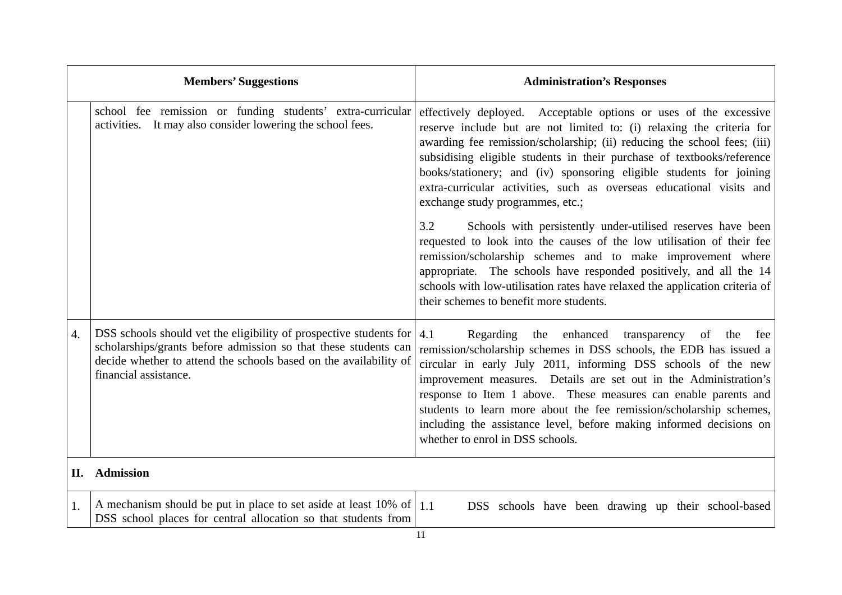|                  | <b>Members' Suggestions</b>                                                                                                                                                                                                         | <b>Administration's Responses</b>                                                                                                                                                                                                                                                                                                                                                                                                                                                                                            |
|------------------|-------------------------------------------------------------------------------------------------------------------------------------------------------------------------------------------------------------------------------------|------------------------------------------------------------------------------------------------------------------------------------------------------------------------------------------------------------------------------------------------------------------------------------------------------------------------------------------------------------------------------------------------------------------------------------------------------------------------------------------------------------------------------|
|                  | school fee remission or funding students' extra-curricular<br>activities. It may also consider lowering the school fees.                                                                                                            | effectively deployed. Acceptable options or uses of the excessive<br>reserve include but are not limited to: (i) relaxing the criteria for<br>awarding fee remission/scholarship; (ii) reducing the school fees; (iii)<br>subsidising eligible students in their purchase of textbooks/reference<br>books/stationery; and (iv) sponsoring eligible students for joining<br>extra-curricular activities, such as overseas educational visits and<br>exchange study programmes, etc.;                                          |
|                  |                                                                                                                                                                                                                                     | 3.2<br>Schools with persistently under-utilised reserves have been<br>requested to look into the causes of the low utilisation of their fee<br>remission/scholarship schemes and to make improvement where<br>appropriate. The schools have responded positively, and all the 14<br>schools with low-utilisation rates have relaxed the application criteria of<br>their schemes to benefit more students.                                                                                                                   |
| $\overline{4}$ . | DSS schools should vet the eligibility of prospective students for<br>scholarships/grants before admission so that these students can<br>decide whether to attend the schools based on the availability of<br>financial assistance. | Regarding the enhanced transparency of<br>4.1<br>the<br>fee<br>remission/scholarship schemes in DSS schools, the EDB has issued a<br>circular in early July 2011, informing DSS schools of the new<br>improvement measures. Details are set out in the Administration's<br>response to Item 1 above. These measures can enable parents and<br>students to learn more about the fee remission/scholarship schemes,<br>including the assistance level, before making informed decisions on<br>whether to enrol in DSS schools. |
| П.               | <b>Admission</b>                                                                                                                                                                                                                    |                                                                                                                                                                                                                                                                                                                                                                                                                                                                                                                              |
| 1.               | A mechanism should be put in place to set aside at least 10% of $\vert$ 1.1<br>DSS school places for central allocation so that students from                                                                                       | DSS schools have been drawing up their school-based                                                                                                                                                                                                                                                                                                                                                                                                                                                                          |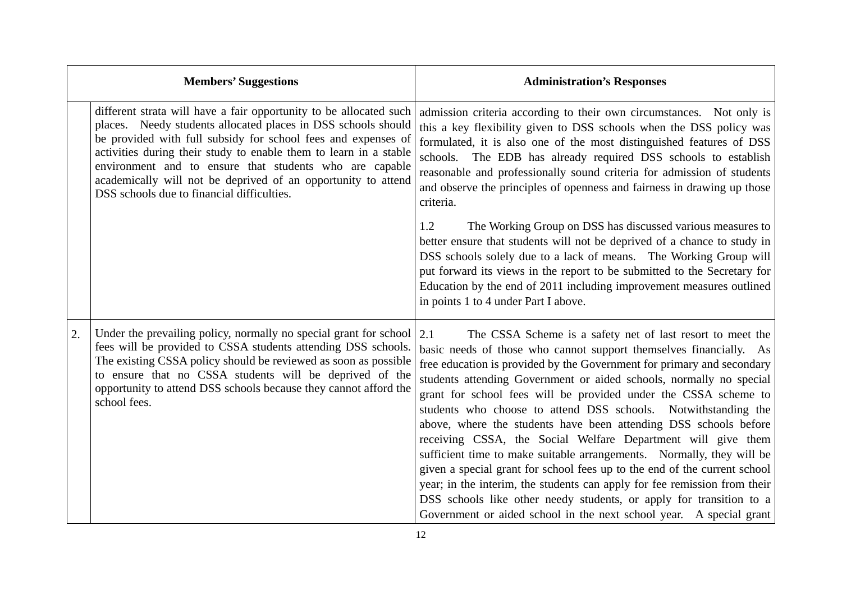|    | <b>Members' Suggestions</b>                                                                                                                                                                                                                                                                                                                                                                                                                         | <b>Administration's Responses</b>                                                                                                                                                                                                                                                                                                                                                                                                                                                                                                                                                                                                                                                                                                                                                                                                                                                                                                                  |
|----|-----------------------------------------------------------------------------------------------------------------------------------------------------------------------------------------------------------------------------------------------------------------------------------------------------------------------------------------------------------------------------------------------------------------------------------------------------|----------------------------------------------------------------------------------------------------------------------------------------------------------------------------------------------------------------------------------------------------------------------------------------------------------------------------------------------------------------------------------------------------------------------------------------------------------------------------------------------------------------------------------------------------------------------------------------------------------------------------------------------------------------------------------------------------------------------------------------------------------------------------------------------------------------------------------------------------------------------------------------------------------------------------------------------------|
|    | different strata will have a fair opportunity to be allocated such<br>places. Needy students allocated places in DSS schools should<br>be provided with full subsidy for school fees and expenses of<br>activities during their study to enable them to learn in a stable<br>environment and to ensure that students who are capable<br>academically will not be deprived of an opportunity to attend<br>DSS schools due to financial difficulties. | admission criteria according to their own circumstances. Not only is<br>this a key flexibility given to DSS schools when the DSS policy was<br>formulated, it is also one of the most distinguished features of DSS<br>schools. The EDB has already required DSS schools to establish<br>reasonable and professionally sound criteria for admission of students<br>and observe the principles of openness and fairness in drawing up those<br>criteria.                                                                                                                                                                                                                                                                                                                                                                                                                                                                                            |
|    |                                                                                                                                                                                                                                                                                                                                                                                                                                                     | The Working Group on DSS has discussed various measures to<br>1.2<br>better ensure that students will not be deprived of a chance to study in<br>DSS schools solely due to a lack of means. The Working Group will<br>put forward its views in the report to be submitted to the Secretary for<br>Education by the end of 2011 including improvement measures outlined<br>in points 1 to 4 under Part I above.                                                                                                                                                                                                                                                                                                                                                                                                                                                                                                                                     |
| 2. | Under the prevailing policy, normally no special grant for school<br>fees will be provided to CSSA students attending DSS schools.<br>The existing CSSA policy should be reviewed as soon as possible<br>to ensure that no CSSA students will be deprived of the<br>opportunity to attend DSS schools because they cannot afford the<br>school fees.                                                                                                | The CSSA Scheme is a safety net of last resort to meet the<br>2.1<br>basic needs of those who cannot support themselves financially. As<br>free education is provided by the Government for primary and secondary<br>students attending Government or aided schools, normally no special<br>grant for school fees will be provided under the CSSA scheme to<br>students who choose to attend DSS schools. Notwithstanding the<br>above, where the students have been attending DSS schools before<br>receiving CSSA, the Social Welfare Department will give them<br>sufficient time to make suitable arrangements. Normally, they will be<br>given a special grant for school fees up to the end of the current school<br>year; in the interim, the students can apply for fee remission from their<br>DSS schools like other needy students, or apply for transition to a<br>Government or aided school in the next school year. A special grant |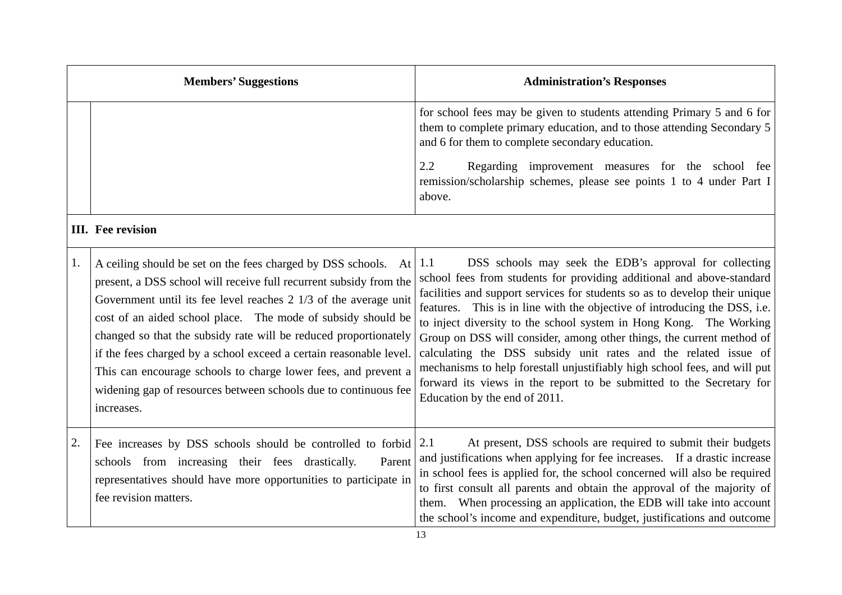|    | <b>Members' Suggestions</b>                                                                                                                                                                                                                                                                                                                                                                                                                                                                                                                                           | <b>Administration's Responses</b>                                                                                                                                                                                                                                                                                                                                                                                                                                                                                                                                                                                                                                                                         |
|----|-----------------------------------------------------------------------------------------------------------------------------------------------------------------------------------------------------------------------------------------------------------------------------------------------------------------------------------------------------------------------------------------------------------------------------------------------------------------------------------------------------------------------------------------------------------------------|-----------------------------------------------------------------------------------------------------------------------------------------------------------------------------------------------------------------------------------------------------------------------------------------------------------------------------------------------------------------------------------------------------------------------------------------------------------------------------------------------------------------------------------------------------------------------------------------------------------------------------------------------------------------------------------------------------------|
|    |                                                                                                                                                                                                                                                                                                                                                                                                                                                                                                                                                                       | for school fees may be given to students attending Primary 5 and 6 for<br>them to complete primary education, and to those attending Secondary 5<br>and 6 for them to complete secondary education.                                                                                                                                                                                                                                                                                                                                                                                                                                                                                                       |
|    |                                                                                                                                                                                                                                                                                                                                                                                                                                                                                                                                                                       | 2.2<br>Regarding improvement measures for the school fee<br>remission/scholarship schemes, please see points 1 to 4 under Part I<br>above.                                                                                                                                                                                                                                                                                                                                                                                                                                                                                                                                                                |
|    | <b>III.</b> Fee revision                                                                                                                                                                                                                                                                                                                                                                                                                                                                                                                                              |                                                                                                                                                                                                                                                                                                                                                                                                                                                                                                                                                                                                                                                                                                           |
| 1. | A ceiling should be set on the fees charged by DSS schools. At<br>present, a DSS school will receive full recurrent subsidy from the<br>Government until its fee level reaches 2 1/3 of the average unit<br>cost of an aided school place. The mode of subsidy should be<br>changed so that the subsidy rate will be reduced proportionately<br>if the fees charged by a school exceed a certain reasonable level.<br>This can encourage schools to charge lower fees, and prevent a<br>widening gap of resources between schools due to continuous fee<br>increases. | DSS schools may seek the EDB's approval for collecting<br>1.1<br>school fees from students for providing additional and above-standard<br>facilities and support services for students so as to develop their unique<br>features. This is in line with the objective of introducing the DSS, i.e.<br>to inject diversity to the school system in Hong Kong. The Working<br>Group on DSS will consider, among other things, the current method of<br>calculating the DSS subsidy unit rates and the related issue of<br>mechanisms to help forestall unjustifiably high school fees, and will put<br>forward its views in the report to be submitted to the Secretary for<br>Education by the end of 2011. |
| 2. | Fee increases by DSS schools should be controlled to forbid $ 2.1$<br>schools from increasing their fees drastically.<br>Parent<br>representatives should have more opportunities to participate in<br>fee revision matters.                                                                                                                                                                                                                                                                                                                                          | At present, DSS schools are required to submit their budgets<br>and justifications when applying for fee increases. If a drastic increase<br>in school fees is applied for, the school concerned will also be required<br>to first consult all parents and obtain the approval of the majority of<br>them. When processing an application, the EDB will take into account<br>the school's income and expenditure, budget, justifications and outcome                                                                                                                                                                                                                                                      |

13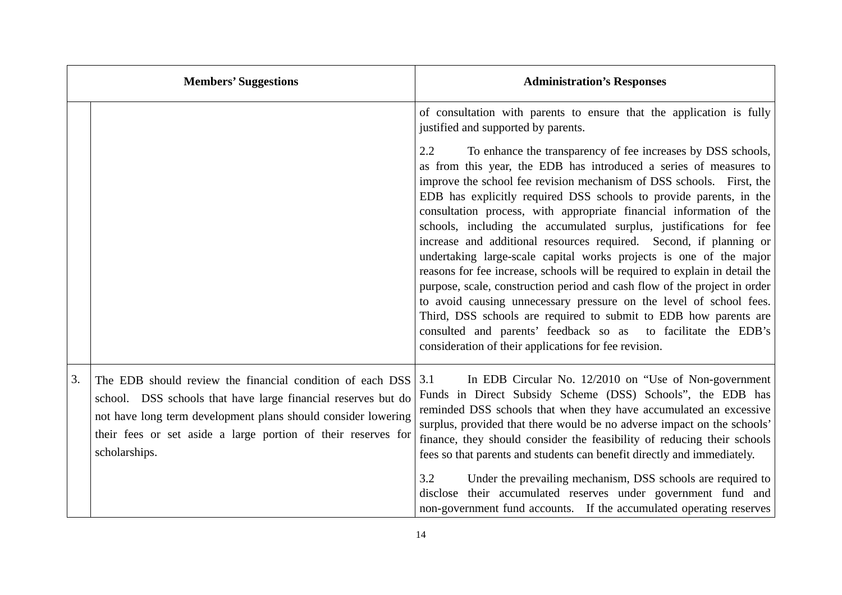|    | <b>Members' Suggestions</b>                                                                                                                                                                                                                                                   | <b>Administration's Responses</b>                                                                                                                                                                                                                                                                                                                                                                                                                                                                                                                                                                                                                                                                                                                                                                                                                                                                                                                                                                               |
|----|-------------------------------------------------------------------------------------------------------------------------------------------------------------------------------------------------------------------------------------------------------------------------------|-----------------------------------------------------------------------------------------------------------------------------------------------------------------------------------------------------------------------------------------------------------------------------------------------------------------------------------------------------------------------------------------------------------------------------------------------------------------------------------------------------------------------------------------------------------------------------------------------------------------------------------------------------------------------------------------------------------------------------------------------------------------------------------------------------------------------------------------------------------------------------------------------------------------------------------------------------------------------------------------------------------------|
|    |                                                                                                                                                                                                                                                                               | of consultation with parents to ensure that the application is fully<br>justified and supported by parents.                                                                                                                                                                                                                                                                                                                                                                                                                                                                                                                                                                                                                                                                                                                                                                                                                                                                                                     |
|    |                                                                                                                                                                                                                                                                               | 2.2<br>To enhance the transparency of fee increases by DSS schools,<br>as from this year, the EDB has introduced a series of measures to<br>improve the school fee revision mechanism of DSS schools. First, the<br>EDB has explicitly required DSS schools to provide parents, in the<br>consultation process, with appropriate financial information of the<br>schools, including the accumulated surplus, justifications for fee<br>increase and additional resources required. Second, if planning or<br>undertaking large-scale capital works projects is one of the major<br>reasons for fee increase, schools will be required to explain in detail the<br>purpose, scale, construction period and cash flow of the project in order<br>to avoid causing unnecessary pressure on the level of school fees.<br>Third, DSS schools are required to submit to EDB how parents are<br>consulted and parents' feedback so as to facilitate the EDB's<br>consideration of their applications for fee revision. |
| 3. | The EDB should review the financial condition of each DSS<br>school. DSS schools that have large financial reserves but do<br>not have long term development plans should consider lowering<br>their fees or set aside a large portion of their reserves for<br>scholarships. | In EDB Circular No. 12/2010 on "Use of Non-government"<br>3.1<br>Funds in Direct Subsidy Scheme (DSS) Schools", the EDB has<br>reminded DSS schools that when they have accumulated an excessive<br>surplus, provided that there would be no adverse impact on the schools'<br>finance, they should consider the feasibility of reducing their schools<br>fees so that parents and students can benefit directly and immediately.<br>3.2<br>Under the prevailing mechanism, DSS schools are required to<br>disclose their accumulated reserves under government fund and<br>non-government fund accounts. If the accumulated operating reserves                                                                                                                                                                                                                                                                                                                                                                 |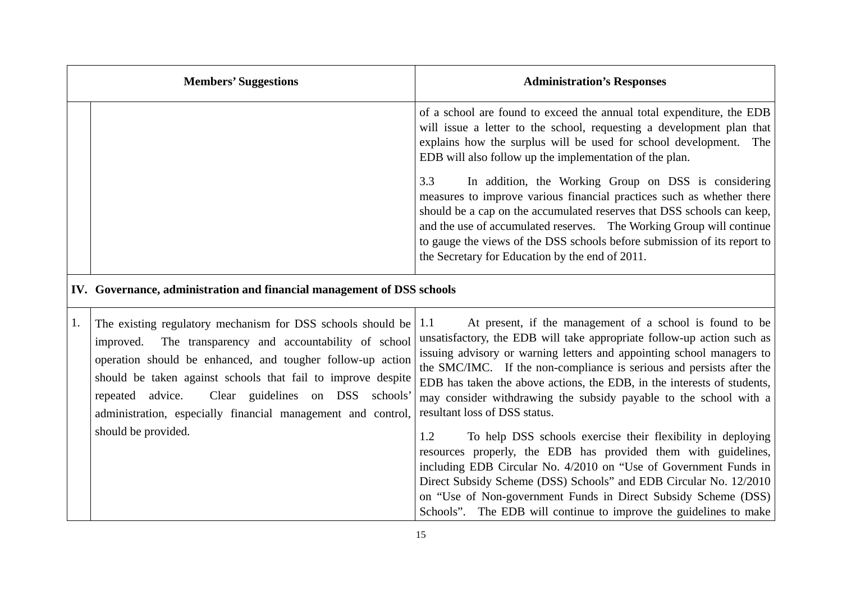|    | <b>Members' Suggestions</b>                                                                                                                                                                                                                                                                                                                                                        | <b>Administration's Responses</b>                                                                                                                                                                                                                                                                                                                                                                                                                                           |
|----|------------------------------------------------------------------------------------------------------------------------------------------------------------------------------------------------------------------------------------------------------------------------------------------------------------------------------------------------------------------------------------|-----------------------------------------------------------------------------------------------------------------------------------------------------------------------------------------------------------------------------------------------------------------------------------------------------------------------------------------------------------------------------------------------------------------------------------------------------------------------------|
|    |                                                                                                                                                                                                                                                                                                                                                                                    | of a school are found to exceed the annual total expenditure, the EDB<br>will issue a letter to the school, requesting a development plan that<br>explains how the surplus will be used for school development.<br>The<br>EDB will also follow up the implementation of the plan.                                                                                                                                                                                           |
|    |                                                                                                                                                                                                                                                                                                                                                                                    | 3.3<br>In addition, the Working Group on DSS is considering<br>measures to improve various financial practices such as whether there<br>should be a cap on the accumulated reserves that DSS schools can keep,<br>and the use of accumulated reserves. The Working Group will continue<br>to gauge the views of the DSS schools before submission of its report to<br>the Secretary for Education by the end of 2011.                                                       |
|    | IV. Governance, administration and financial management of DSS schools                                                                                                                                                                                                                                                                                                             |                                                                                                                                                                                                                                                                                                                                                                                                                                                                             |
| 1. | The existing regulatory mechanism for DSS schools should be<br>The transparency and accountability of school<br>improved.<br>operation should be enhanced, and tougher follow-up action<br>should be taken against schools that fail to improve despite<br>Clear guidelines on DSS<br>repeated advice.<br>schools'<br>administration, especially financial management and control, | At present, if the management of a school is found to be<br>1.1<br>unsatisfactory, the EDB will take appropriate follow-up action such as<br>issuing advisory or warning letters and appointing school managers to<br>the SMC/IMC. If the non-compliance is serious and persists after the<br>EDB has taken the above actions, the EDB, in the interests of students,<br>may consider withdrawing the subsidy payable to the school with a<br>resultant loss of DSS status. |
|    | should be provided.                                                                                                                                                                                                                                                                                                                                                                | To help DSS schools exercise their flexibility in deploying<br>1.2<br>resources properly, the EDB has provided them with guidelines,<br>including EDB Circular No. 4/2010 on "Use of Government Funds in<br>Direct Subsidy Scheme (DSS) Schools" and EDB Circular No. 12/2010<br>on "Use of Non-government Funds in Direct Subsidy Scheme (DSS)<br>Schools". The EDB will continue to improve the guidelines to make                                                        |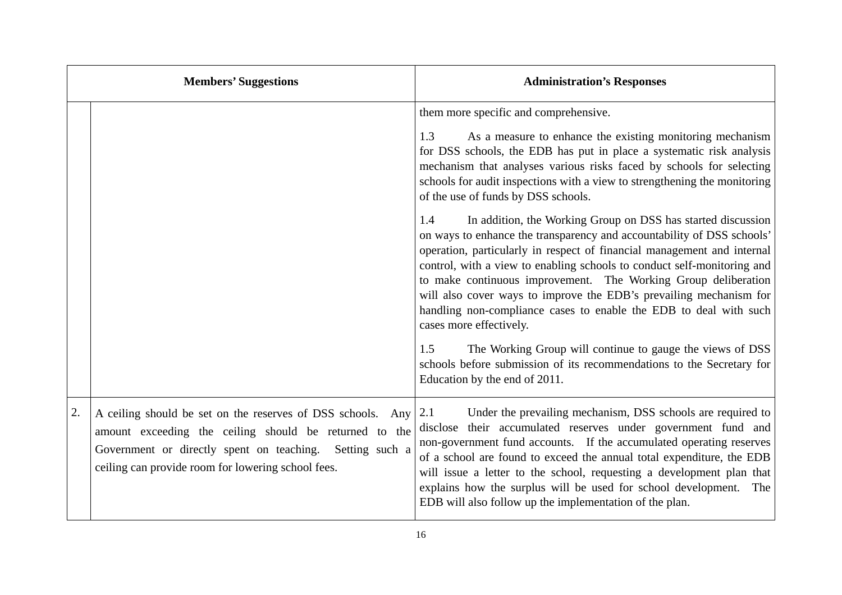|    | <b>Members' Suggestions</b>                                                                                                                                                                                                                | <b>Administration's Responses</b>                                                                                                                                                                                                                                                                                                                                                                                                                                                                                                                                                                                                                                                                                                                                                                                                                                                                                                                                                                                                                                         |
|----|--------------------------------------------------------------------------------------------------------------------------------------------------------------------------------------------------------------------------------------------|---------------------------------------------------------------------------------------------------------------------------------------------------------------------------------------------------------------------------------------------------------------------------------------------------------------------------------------------------------------------------------------------------------------------------------------------------------------------------------------------------------------------------------------------------------------------------------------------------------------------------------------------------------------------------------------------------------------------------------------------------------------------------------------------------------------------------------------------------------------------------------------------------------------------------------------------------------------------------------------------------------------------------------------------------------------------------|
|    |                                                                                                                                                                                                                                            | them more specific and comprehensive.<br>As a measure to enhance the existing monitoring mechanism<br>1.3<br>for DSS schools, the EDB has put in place a systematic risk analysis<br>mechanism that analyses various risks faced by schools for selecting<br>schools for audit inspections with a view to strengthening the monitoring<br>of the use of funds by DSS schools.<br>In addition, the Working Group on DSS has started discussion<br>1.4<br>on ways to enhance the transparency and accountability of DSS schools'<br>operation, particularly in respect of financial management and internal<br>control, with a view to enabling schools to conduct self-monitoring and<br>to make continuous improvement. The Working Group deliberation<br>will also cover ways to improve the EDB's prevailing mechanism for<br>handling non-compliance cases to enable the EDB to deal with such<br>cases more effectively.<br>The Working Group will continue to gauge the views of DSS<br>1.5<br>schools before submission of its recommendations to the Secretary for |
| 2. | A ceiling should be set on the reserves of DSS schools. Any<br>amount exceeding the ceiling should be returned to the<br>Government or directly spent on teaching.<br>Setting such a<br>ceiling can provide room for lowering school fees. | Education by the end of 2011.<br>Under the prevailing mechanism, DSS schools are required to<br>2.1<br>disclose their accumulated reserves under government fund and<br>non-government fund accounts. If the accumulated operating reserves<br>of a school are found to exceed the annual total expenditure, the EDB<br>will issue a letter to the school, requesting a development plan that<br>explains how the surplus will be used for school development.<br>The<br>EDB will also follow up the implementation of the plan.                                                                                                                                                                                                                                                                                                                                                                                                                                                                                                                                          |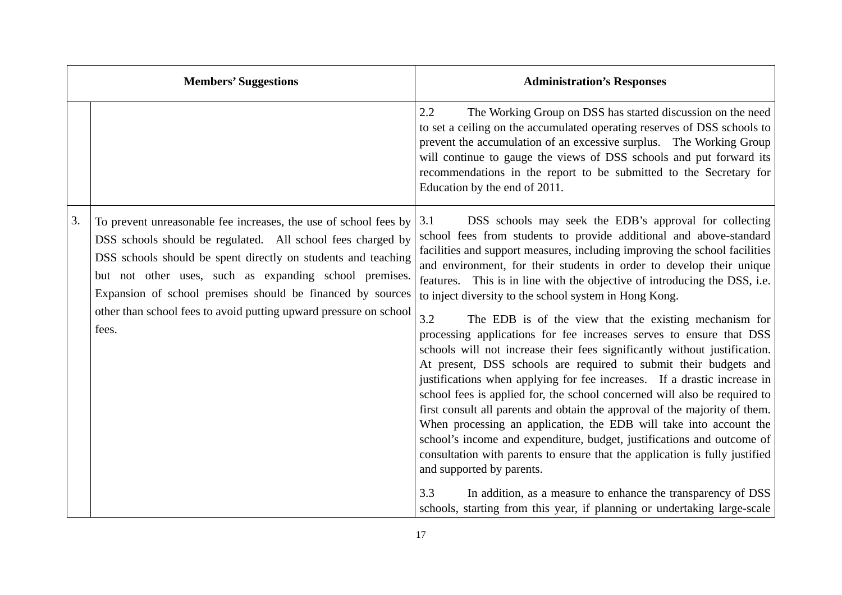|    | <b>Members' Suggestions</b>                                                                                                                                                                                                                                                                                                                  | <b>Administration's Responses</b>                                                                                                                                                                                                                                                                                                                                                                                                                                                                                                                                                                                                                                                                                                                                                        |
|----|----------------------------------------------------------------------------------------------------------------------------------------------------------------------------------------------------------------------------------------------------------------------------------------------------------------------------------------------|------------------------------------------------------------------------------------------------------------------------------------------------------------------------------------------------------------------------------------------------------------------------------------------------------------------------------------------------------------------------------------------------------------------------------------------------------------------------------------------------------------------------------------------------------------------------------------------------------------------------------------------------------------------------------------------------------------------------------------------------------------------------------------------|
|    |                                                                                                                                                                                                                                                                                                                                              | 2.2<br>The Working Group on DSS has started discussion on the need<br>to set a ceiling on the accumulated operating reserves of DSS schools to<br>prevent the accumulation of an excessive surplus. The Working Group<br>will continue to gauge the views of DSS schools and put forward its<br>recommendations in the report to be submitted to the Secretary for<br>Education by the end of 2011.                                                                                                                                                                                                                                                                                                                                                                                      |
| 3. | To prevent unreasonable fee increases, the use of school fees by $\vert 3.1 \rangle$<br>DSS schools should be regulated. All school fees charged by<br>DSS schools should be spent directly on students and teaching<br>but not other uses, such as expanding school premises.<br>Expansion of school premises should be financed by sources | DSS schools may seek the EDB's approval for collecting<br>school fees from students to provide additional and above-standard<br>facilities and support measures, including improving the school facilities<br>and environment, for their students in order to develop their unique<br>features. This is in line with the objective of introducing the DSS, i.e.<br>to inject diversity to the school system in Hong Kong.                                                                                                                                                                                                                                                                                                                                                                |
|    | other than school fees to avoid putting upward pressure on school<br>fees.                                                                                                                                                                                                                                                                   | 3.2<br>The EDB is of the view that the existing mechanism for<br>processing applications for fee increases serves to ensure that DSS<br>schools will not increase their fees significantly without justification.<br>At present, DSS schools are required to submit their budgets and<br>justifications when applying for fee increases. If a drastic increase in<br>school fees is applied for, the school concerned will also be required to<br>first consult all parents and obtain the approval of the majority of them.<br>When processing an application, the EDB will take into account the<br>school's income and expenditure, budget, justifications and outcome of<br>consultation with parents to ensure that the application is fully justified<br>and supported by parents. |
|    |                                                                                                                                                                                                                                                                                                                                              | 3.3<br>In addition, as a measure to enhance the transparency of DSS<br>schools, starting from this year, if planning or undertaking large-scale                                                                                                                                                                                                                                                                                                                                                                                                                                                                                                                                                                                                                                          |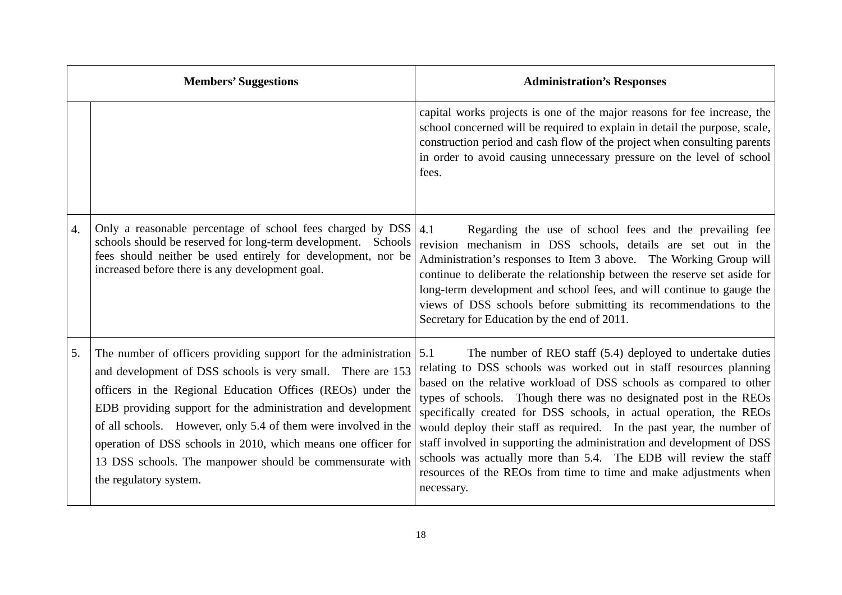|                  | <b>Members' Suggestions</b>                                                                                                                                                                                                                                                                                                                                                                                                                                                                                | <b>Administration's Responses</b>                                                                                                                                                                                                                                                                                                                                                                                                                                                                                                                                                                                                                             |
|------------------|------------------------------------------------------------------------------------------------------------------------------------------------------------------------------------------------------------------------------------------------------------------------------------------------------------------------------------------------------------------------------------------------------------------------------------------------------------------------------------------------------------|---------------------------------------------------------------------------------------------------------------------------------------------------------------------------------------------------------------------------------------------------------------------------------------------------------------------------------------------------------------------------------------------------------------------------------------------------------------------------------------------------------------------------------------------------------------------------------------------------------------------------------------------------------------|
|                  |                                                                                                                                                                                                                                                                                                                                                                                                                                                                                                            | capital works projects is one of the major reasons for fee increase, the<br>school concerned will be required to explain in detail the purpose, scale,<br>construction period and cash flow of the project when consulting parents<br>in order to avoid causing unnecessary pressure on the level of school<br>fees.                                                                                                                                                                                                                                                                                                                                          |
| $\overline{4}$ . | Only a reasonable percentage of school fees charged by DSS<br>schools should be reserved for long-term development.<br>Schools<br>fees should neither be used entirely for development, nor be<br>increased before there is any development goal.                                                                                                                                                                                                                                                          | Regarding the use of school fees and the prevailing fee<br>4.1<br>revision mechanism in DSS schools, details are set out in the<br>Administration's responses to Item 3 above. The Working Group will<br>continue to deliberate the relationship between the reserve set aside for<br>long-term development and school fees, and will continue to gauge the<br>views of DSS schools before submitting its recommendations to the<br>Secretary for Education by the end of 2011.                                                                                                                                                                               |
| 5.               | The number of officers providing support for the administration $\vert 5.1 \rangle$<br>and development of DSS schools is very small. There are 153<br>officers in the Regional Education Offices (REOs) under the<br>EDB providing support for the administration and development<br>of all schools. However, only 5.4 of them were involved in the<br>operation of DSS schools in 2010, which means one officer for<br>13 DSS schools. The manpower should be commensurate with<br>the regulatory system. | The number of REO staff (5.4) deployed to undertake duties<br>relating to DSS schools was worked out in staff resources planning<br>based on the relative workload of DSS schools as compared to other<br>types of schools. Though there was no designated post in the REOs<br>specifically created for DSS schools, in actual operation, the REOs<br>would deploy their staff as required. In the past year, the number of<br>staff involved in supporting the administration and development of DSS<br>schools was actually more than 5.4. The EDB will review the staff<br>resources of the REOs from time to time and make adjustments when<br>necessary. |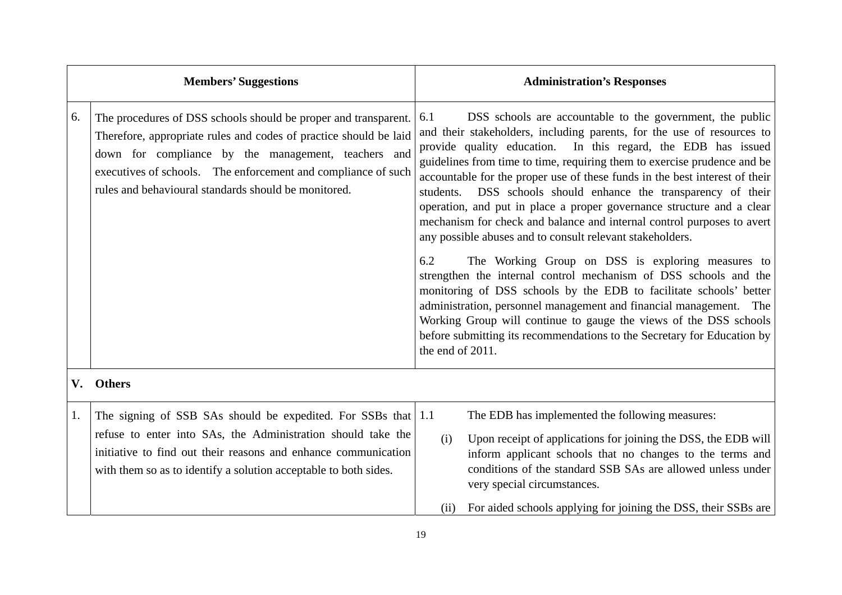|    | <b>Members' Suggestions</b>                                                                                                                                                                                                                                                                                          |                                             | <b>Administration's Responses</b>                                                                                                                                                                                                                                                                                                                                                                                                                                                                                                                                                                                                                                                                                                                                                                                                                                                                                                                                                                                                                            |  |
|----|----------------------------------------------------------------------------------------------------------------------------------------------------------------------------------------------------------------------------------------------------------------------------------------------------------------------|---------------------------------------------|--------------------------------------------------------------------------------------------------------------------------------------------------------------------------------------------------------------------------------------------------------------------------------------------------------------------------------------------------------------------------------------------------------------------------------------------------------------------------------------------------------------------------------------------------------------------------------------------------------------------------------------------------------------------------------------------------------------------------------------------------------------------------------------------------------------------------------------------------------------------------------------------------------------------------------------------------------------------------------------------------------------------------------------------------------------|--|
| 6. | The procedures of DSS schools should be proper and transparent.<br>Therefore, appropriate rules and codes of practice should be laid<br>down for compliance by the management, teachers and<br>executives of schools. The enforcement and compliance of such<br>rules and behavioural standards should be monitored. | 6.1<br>students.<br>6.2<br>the end of 2011. | DSS schools are accountable to the government, the public<br>and their stakeholders, including parents, for the use of resources to<br>provide quality education. In this regard, the EDB has issued<br>guidelines from time to time, requiring them to exercise prudence and be<br>accountable for the proper use of these funds in the best interest of their<br>DSS schools should enhance the transparency of their<br>operation, and put in place a proper governance structure and a clear<br>mechanism for check and balance and internal control purposes to avert<br>any possible abuses and to consult relevant stakeholders.<br>The Working Group on DSS is exploring measures to<br>strengthen the internal control mechanism of DSS schools and the<br>monitoring of DSS schools by the EDB to facilitate schools' better<br>administration, personnel management and financial management. The<br>Working Group will continue to gauge the views of the DSS schools<br>before submitting its recommendations to the Secretary for Education by |  |
| V. | <b>Others</b>                                                                                                                                                                                                                                                                                                        |                                             |                                                                                                                                                                                                                                                                                                                                                                                                                                                                                                                                                                                                                                                                                                                                                                                                                                                                                                                                                                                                                                                              |  |
| 1. | The signing of SSB SAs should be expedited. For SSBs that $ 1.1 $<br>refuse to enter into SAs, the Administration should take the<br>initiative to find out their reasons and enhance communication<br>with them so as to identify a solution acceptable to both sides.                                              | (i)<br>(ii)                                 | The EDB has implemented the following measures:<br>Upon receipt of applications for joining the DSS, the EDB will<br>inform applicant schools that no changes to the terms and<br>conditions of the standard SSB SAs are allowed unless under<br>very special circumstances.<br>For aided schools applying for joining the DSS, their SSBs are                                                                                                                                                                                                                                                                                                                                                                                                                                                                                                                                                                                                                                                                                                               |  |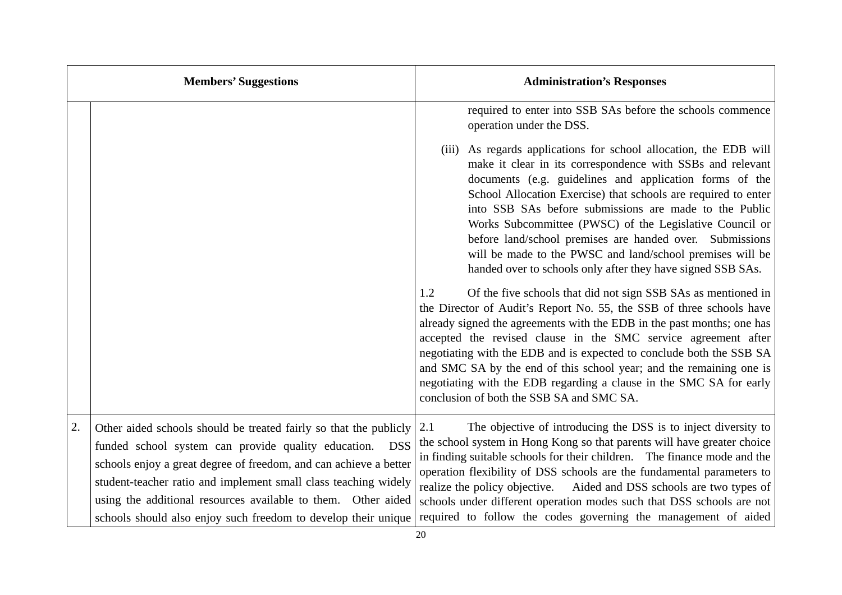| <b>Members' Suggestions</b> |                                                                                                                                                                                                                                                                                                                                                                                                         | <b>Administration's Responses</b>                                                                                                                                                                                                                                                                                                                                                                                                                                                                                                                                                                                                                                                                                                                                                                                                                                                                                                                                                                                                                                                                                                        |  |
|-----------------------------|---------------------------------------------------------------------------------------------------------------------------------------------------------------------------------------------------------------------------------------------------------------------------------------------------------------------------------------------------------------------------------------------------------|------------------------------------------------------------------------------------------------------------------------------------------------------------------------------------------------------------------------------------------------------------------------------------------------------------------------------------------------------------------------------------------------------------------------------------------------------------------------------------------------------------------------------------------------------------------------------------------------------------------------------------------------------------------------------------------------------------------------------------------------------------------------------------------------------------------------------------------------------------------------------------------------------------------------------------------------------------------------------------------------------------------------------------------------------------------------------------------------------------------------------------------|--|
|                             |                                                                                                                                                                                                                                                                                                                                                                                                         | required to enter into SSB SAs before the schools commence<br>operation under the DSS.                                                                                                                                                                                                                                                                                                                                                                                                                                                                                                                                                                                                                                                                                                                                                                                                                                                                                                                                                                                                                                                   |  |
|                             |                                                                                                                                                                                                                                                                                                                                                                                                         | (iii) As regards applications for school allocation, the EDB will<br>make it clear in its correspondence with SSBs and relevant<br>documents (e.g. guidelines and application forms of the<br>School Allocation Exercise) that schools are required to enter<br>into SSB SAs before submissions are made to the Public<br>Works Subcommittee (PWSC) of the Legislative Council or<br>before land/school premises are handed over. Submissions<br>will be made to the PWSC and land/school premises will be<br>handed over to schools only after they have signed SSB SAs.<br>1.2<br>Of the five schools that did not sign SSB SAs as mentioned in<br>the Director of Audit's Report No. 55, the SSB of three schools have<br>already signed the agreements with the EDB in the past months; one has<br>accepted the revised clause in the SMC service agreement after<br>negotiating with the EDB and is expected to conclude both the SSB SA<br>and SMC SA by the end of this school year; and the remaining one is<br>negotiating with the EDB regarding a clause in the SMC SA for early<br>conclusion of both the SSB SA and SMC SA. |  |
| 2.                          | Other aided schools should be treated fairly so that the publicly<br>funded school system can provide quality education. DSS<br>schools enjoy a great degree of freedom, and can achieve a better<br>student-teacher ratio and implement small class teaching widely<br>using the additional resources available to them. Other aided<br>schools should also enjoy such freedom to develop their unique | The objective of introducing the DSS is to inject diversity to<br>2.1<br>the school system in Hong Kong so that parents will have greater choice<br>in finding suitable schools for their children. The finance mode and the<br>operation flexibility of DSS schools are the fundamental parameters to<br>realize the policy objective.<br>Aided and DSS schools are two types of<br>schools under different operation modes such that DSS schools are not<br>required to follow the codes governing the management of aided                                                                                                                                                                                                                                                                                                                                                                                                                                                                                                                                                                                                             |  |